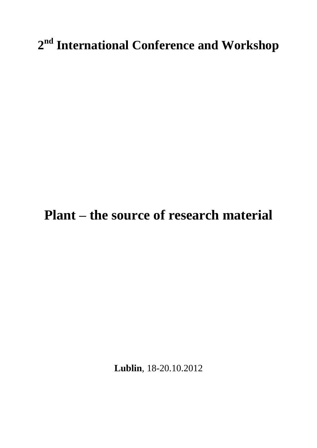# **2 nd International Conference and Workshop**

# **Plant – the source of research material**

**Lublin**, 18-20.10.2012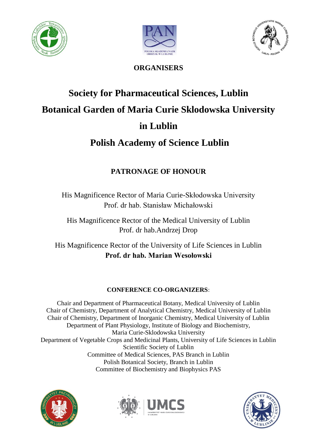





**ORGANISERS**

# **Society for Pharmaceutical Sciences, Lublin Botanical Garden of Maria Curie Sklodowska University in Lublin**

## **Polish Academy of Science Lublin**

## **PATRONAGE OF HONOUR**

His Magnificence Rector of Maria Curie-Skłodowska University Prof. dr hab. Stanisław Michałowski

His Magnificence Rector of the Medical University of Lublin Prof. dr hab.Andrzej Drop

His Magnificence Rector of the University of Life Sciences in Lublin **Prof. dr hab. Marian Wesołowski**

## **CONFERENCE CO-ORGANIZERS:**

Chair and Department of Pharmaceutical Botany, Medical University of Lublin Chair of Chemistry, Department of Analytical Chemistry, Medical University of Lublin Chair of Chemistry, Department of Inorganic Chemistry, Medical University of Lublin Department of Plant Physiology, Institute of Biology and Biochemistry, Maria Curie-Sklodowska University Department of Vegetable Crops and Medicinal Plants, University of Life Sciences in Lublin Scientific Society of Lublin Committee of Medical Sciences, PAS Branch in Lublin Polish Botanical Society, Branch in Lublin Committee of Biochemistry and Biophysics PAS





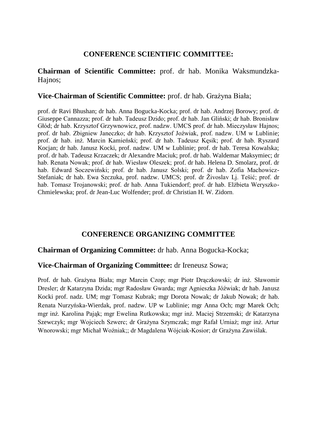## **CONFERENCE SCIENTIFIC COMMITTEE:**

## **Chairman of Scientific Committee:** prof. dr hab. Monika Waksmundzka-Hajnos;

## **Vice-Chairman of Scientific Committee:** prof. dr hab. Grażyna Biała;

prof. dr Ravi Bhushan; dr hab. Anna Bogucka-Kocka; prof. dr hab. Andrzej Borowy; prof. dr Giuseppe Cannazza; prof. dr hab. Tadeusz Dzido; prof. dr hab. Jan Gliński; dr hab. Bronisław Głód; dr hab. Krzysztof Grzywnowicz, prof. nadzw. UMCS prof. dr hab. Mieczysław Hajnos; prof. dr hab. Zbigniew Janeczko; dr hab. Krzysztof Joźwiak, prof. nadzw. UM w Lublinie; prof. dr hab. inż. Marcin Kamieński; prof. dr hab. Tadeusz Kęsik; prof. dr hab. Ryszard Kocjan; dr hab. Janusz Kocki, prof. nadzw. UM w Lublinie; prof. dr hab. Teresa Kowalska; prof. dr hab. Tadeusz Krzaczek; dr Alexandre Maciuk; prof. dr hab. Waldemar Maksymiec; dr hab. Renata Nowak; prof. dr hab. Wiesław Oleszek; prof. dr hab. Helena D. Smolarz, prof. dr hab. Edward Soczewiński; prof. dr hab. Janusz Solski; prof. dr hab. Zofia Machowicz-Stefaniak; dr hab. Ewa Szczuka, prof. nadzw. UMCS; prof. dr Živoslav Lj. Tešić; prof. dr hab. Tomasz Trojanowski; prof. dr hab. Anna Tukiendorf; prof. dr hab. Elżbieta Weryszko-Chmielewska; prof. dr Jean-Luc Wolfender; prof. dr Christian H. W. Zidorn.

## **CONFERENCE ORGANIZING COMMITTEE**

## **Chairman of Organizing Committee:** dr hab. Anna Bogucka-Kocka;

## **Vice-Chairman of Organizing Committee:** dr Ireneusz Sowa;

Prof. dr hab. Grażyna Biała; mgr Marcin Czop; mgr Piotr Drączkowski; dr inż. Sławomir Dresler; dr Katarzyna Dzida; mgr Radosław Gwarda; mgr Agnieszka Jóźwiak; dr hab. Janusz Kocki prof. nadz. UM; mgr Tomasz Kubrak; mgr Dorota Nowak; dr Jakub Nowak; dr hab. Renata Nurzyńska-Wierdak, prof. nadzw. UP w Lublinie; mgr Anna Och; mgr Marek Och; mgr inż. Karolina Pająk; mgr Ewelina Rutkowska; mgr inż. Maciej Strzemski; dr Katarzyna Szewczyk; mgr Wojciech Szwerc; dr Grażyna Szymczak; mgr Rafał Urniaż; mgr inż. Artur Wnorowski; mgr Michał Woźniak;; dr Magdalena Wójciak-Kosior; dr Grażyna Zawiślak.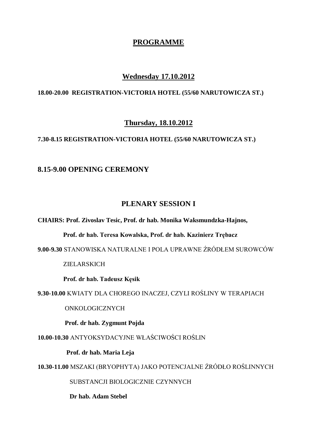## **PROGRAMME**

## **Wednesday 17.10.2012**

## **18.00-20.00 REGISTRATION-VICTORIA HOTEL (55/60 NARUTOWICZA ST.)**

## **Thursday, 18.10.2012**

#### **7.30-8.15 REGISTRATION-VICTORIA HOTEL (55/60 NARUTOWICZA ST.)**

#### **8.15-9.00 OPENING CEREMONY**

#### **PLENARY SESSION I**

**CHAIRS: Prof. Zivoslav Tesic, Prof. dr hab. Monika Waksmundzka-Hajnos,** 

 **Prof. dr hab. Teresa Kowalska, Prof. dr hab. Kazinierz Trębacz** 

**9.00-9.30** STANOWISKA NATURALNE I POLA UPRAWNE ŹRÓDŁEM SUROWCÓW

#### ZIELARSKICH

**Prof. dr hab. Tadeusz Kęsik**

**9.30-10.00** KWIATY DLA CHOREGO INACZEJ, CZYLI ROŚLINY W TERAPIACH

ONKOLOGICZNYCH

 **Prof. dr hab. Zygmunt Pojda**

**10.00-10.30** ANTYOKSYDACYJNE WŁAŚCIWOŚCI ROŚLIN

 **Prof. dr hab. Maria Leja**

**10.30-11.00** MSZAKI (BRYOPHYTA) JAKO POTENCJALNE ŹRÓDŁO ROŚLINNYCH

SUBSTANCJI BIOLOGICZNIE CZYNNYCH

**Dr hab. Adam Stebel**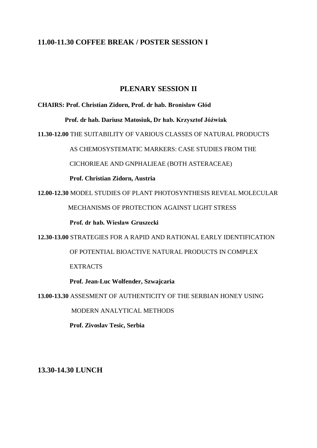## **11.00-11.30 COFFEE BREAK / POSTER SESSION I**

## **PLENARY SESSION II**

#### **CHAIRS: Prof. Christian Zidorn, Prof. dr hab. Bronisław Głód**

 **Prof. dr hab. Dariusz Matosiuk, Dr hab. Krzysztof Jóźwiak** 

**11.30-12.00** THE SUITABILITY OF VARIOUS CLASSES OF NATURAL PRODUCTS

AS CHEMOSYSTEMATIC MARKERS: CASE STUDIES FROM THE

CICHORIEAE AND GNPHALIEAE (BOTH ASTERACEAE)

**Prof. Christian Zidorn, Austria**

**12.00-12.30** MODEL STUDIES OF PLANT PHOTOSYNTHESIS REVEAL MOLECULAR

MECHANISMS OF PROTECTION AGAINST LIGHT STRESS

**Prof. dr hab. Wiesław Gruszecki**

**12.30-13.00** STRATEGIES FOR A RAPID AND RATIONAL EARLY IDENTIFICATION

OF POTENTIAL BIOACTIVE NATURAL PRODUCTS IN COMPLEX

EXTRACTS

**Prof. Jean-Luc Wolfender, Szwajcaria**

**13.00-13.30** ASSESMENT OF AUTHENTICITY OF THE SERBIAN HONEY USING

MODERN ANALYTICAL METHODS

 **Prof. Zivoslav Tesic, Serbia** 

**13.30-14.30 LUNCH**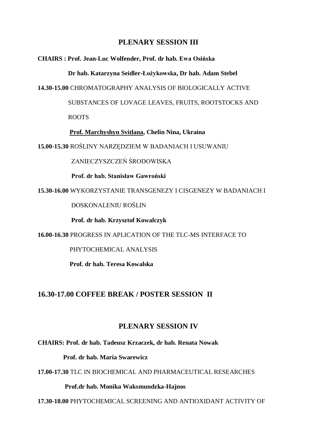## **PLENARY SESSION III**

#### **CHAIRS : Prof. Jean-Luc Wolfender, Prof. dr hab. Ewa Osińska**

 **Dr hab. Katarzyna Seidler-Łożykowska, Dr hab. Adam Stebel**

**14.30-15.00** CHROMATOGRAPHY ANALYSIS OF BIOLOGICALLY ACTIVE

SUBSTANCES OF LOVAGE LEAVES, FRUITS, ROOTSTOCKS AND

ROOTS

#### **Prof. Marchyshyn Svitlana, Chelin Nina, Ukraina**

**15.00-15.30** ROŚLINY NARZĘDZIEM W BADANIACH I USUWANIU

ZANIECZYSZCZEŃ ŚRODOWISKA

**Prof. dr hab. Stanisław Gawroński**

**15.30-16.00** WYKORZYSTANIE TRANSGENEZY I CISGENEZY W BADANIACH I

DOSKONALENIU ROŚLIN

**Prof. dr hab. Krzysztof Kowalczyk**

**16.00-16.30** PROGRESS IN APLICATION OF THE TLC-MS INTERFACE TO

PHYTOCHEMICAL ANALYSIS

**Prof. dr hab. Teresa Kowalska**

## **16.30-17.00 COFFEE BREAK / POSTER SESSION II**

## **PLENARY SESSION IV**

**CHAIRS: Prof. dr hab. Tadeusz Krzaczek, dr hab. Renata Nowak**

 **Prof. dr hab. Maria Swarewicz**

**17.00-17.30** TLC IN BIOCHEMICAL AND PHARMACEUTICAL RESEARCHES

#### **Prof.dr hab. Monika Waksmundzka-Hajnos**

**17.30-18.00** PHYTOCHEMICAL SCREENING AND ANTIOXIDANT ACTIVITY OF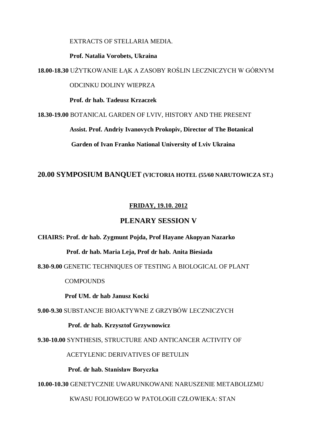EXTRACTS OF STELLARIA MEDIA.

**Prof. Natalia Vorobets, Ukraina**

**18.00-18.30** UŻYTKOWANIE ŁĄK A ZASOBY ROŚLIN LECZNICZYCH W GÓRNYM

ODCINKU DOLINY WIEPRZA

**Prof. dr hab. Tadeusz Krzaczek**

**18.30-19.00** BOTANICAL GARDEN OF LVIV, HISTORY AND THE PRESENT

 **Assist. Prof. Andriy Ivanovych Prokopiv, Director of The Botanical**

**Garden of Ivan Franko National University of Lviv Ukraina**

#### **20.00 SYMPOSIUM BANQUET (VICTORIA HOTEL (55/60 NARUTOWICZA ST.)**

## **FRIDAY, 19.10. 2012**

## **PLENARY SESSION V**

**CHAIRS: Prof. dr hab. Zygmunt Pojda, Prof Hayane Akopyan Nazarko**

 **Prof. dr hab. Maria Leja, Prof dr hab. Anita Biesiada** 

**8.30-9.00** GENETIC TECHNIQUES OF TESTING A BIOLOGICAL OF PLANT

**COMPOUNDS** 

**Prof UM. dr hab Janusz Kocki**

**9.00-9.30** SUBSTANCJE BIOAKTYWNE Z GRZYBÓW LECZNICZYCH

 **Prof. dr hab. Krzysztof Grzywnowicz**

**9.30-10.00** SYNTHESIS, STRUCTURE AND ANTICANCER ACTIVITY OF

ACETYLENIC DERIVATIVES OF BETULIN

**Prof. dr hab. Stanisław Boryczka**

**10.00-10.30** GENETYCZNIE UWARUNKOWANE NARUSZENIE METABOLIZMU

KWASU FOLIOWEGO W PATOLOGII CZŁOWIEKA: STAN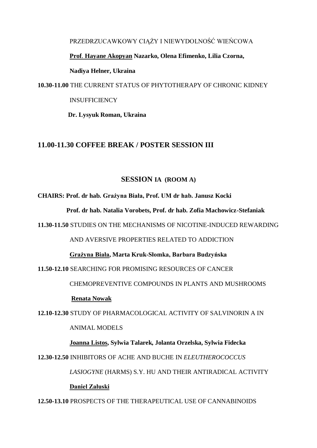PRZEDRZUCAWKOWY CIĄŻY I NIEWYDOLNOŚĆ WIEŃCOWA  **Prof**. **Hayane Akopyan Nazarko, Olena Efimenko, Lilia Czorna, Nadiya Helner, Ukraina 10.30-11.00** THE CURRENT STATUS OF PHYTOTHERAPY OF CHRONIC KIDNEY

#### **INSUFFICIENCY**

 **Dr. Lysyuk Roman, Ukraina**

## **11.00-11.30 COFFEE BREAK / POSTER SESSION III**

#### **SESSION IA (ROOM A)**

**CHAIRS: Prof. dr hab. Grażyna Biała, Prof. UM dr hab. Janusz Kocki**

 **Prof. dr hab. Natalia Vorobets, Prof. dr hab. Zofia Machowicz-Stefaniak**

**11.30-11.50** STUDIES ON THE MECHANISMS OF NICOTINE-INDUCED REWARDING

AND AVERSIVE PROPERTIES RELATED TO ADDICTION

#### **Grażyna Biała, Marta Kruk-Słomka, Barbara Budzyńska**

**11.50-12.10** SEARCHING FOR PROMISING RESOURCES OF CANCER

CHEMOPREVENTIVE COMPOUNDS IN PLANTS AND MUSHROOMS

#### **Renata Nowak**

**12.10-12.30** STUDY OF PHARMACOLOGICAL ACTIVITY OF SALVINORIN A IN

ANIMAL MODELS

**Joanna Listos, Sylwia Talarek, Jolanta Orzelska, Sylwia Fidecka** 

**12.30-12.50** INHIBITORS OF ACHE AND BUCHE IN *ELEUTHEROCOCCUS*

 *LASIOGYNE* (HARMS) S.Y. HU AND THEIR ANTIRADICAL ACTIVITY

#### **Daniel Załuski**

**12.50-13.10** PROSPECTS OF THE THERAPEUTICAL USE OF CANNABINOIDS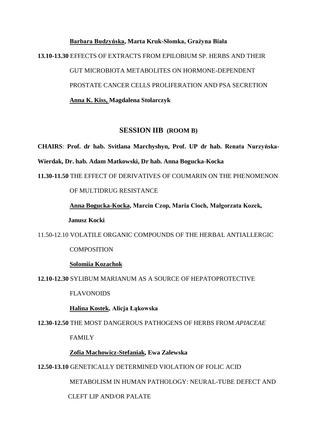**Barbara Budzyńska, Marta Kruk-Słomka, Grażyna Biała 13.10-13.30** EFFECTS OF EXTRACTS FROM EPILOBIUM SP. HERBS AND THEIR GUT MICROBIOTA METABOLITES ON HORMONE-DEPENDENT PROSTATE CANCER CELLS PROLIFERATION AND PSA SECRETION  **Anna K. Kiss, Magdalena Stolarczyk**

#### **SESSION IIB (ROOM B)**

**CHAIRS**: **Prof. dr hab. Svitlana Marchyshyn, Prof. UP dr hab. Renata Nurzyńska-Wierdak, Dr. hab. Adam Matkowski, Dr hab. Anna Bogucka-Kocka** 

**11.30-11.50** THE EFFECT OF DERIVATIVES OF COUMARIN ON THE PHENOMENON

#### OF MULTIDRUG RESISTANCE

 **Anna Bogucka-Kocka, Marcin Czop, Maria Cioch, Małgorzata Kozek, Janusz Kocki** 

11.50-12.10 VOLATILE ORGANIC COMPOUNDS OF THE HERBAL ANTIALLERGIC

#### **COMPOSITION**

#### **Solomiia Kozachok**

**12.10-12.30** SYLIBUM MARIANUM AS A SOURCE OF HEPATOPROTECTIVE

FLAVONOIDS

**Halina Kostek, Alicja Łąkowska** 

**12.30-12.50** THE MOST DANGEROUS PATHOGENS OF HERBS FROM *APIACEAE* 

FAMILY

#### **Zofia Machowicz-Stefaniak, Ewa Zalewska**

#### **12.50-13.10** GENETICALLY DETERMINED VIOLATION OF FOLIC ACID

METABOLISM IN HUMAN PATHOLOGY: NEURAL-TUBE DEFECT AND

CLEFT LIP AND/OR PALATE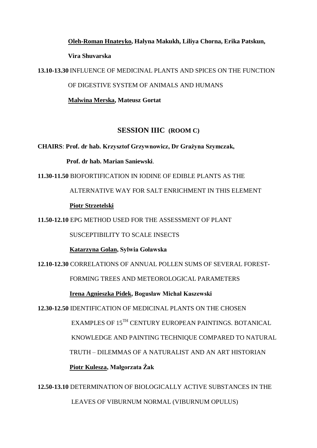# **Oleh-Roman Hnateyko, Halyna Makukh, Liliya Chorna, Erika Patskun, Vira Shuvarska**

**13.10-13.30** INFLUENCE OF MEDICINAL PLANTS AND SPICES ON THE FUNCTION

OF DIGESTIVE SYSTEM OF ANIMALS AND HUMANS

**Malwina Merska, Mateusz Gortat** 

## **SESSION IIIC (ROOM C)**

**CHAIRS**: **Prof. dr hab. Krzysztof Grzywnowicz, Dr Grażyna Szymczak,** 

 **Prof. dr hab. Marian Saniewski**.

**11.30-11.50** BIOFORTIFICATION IN IODINE OF EDIBLE PLANTS AS THE

ALTERNATIVE WAY FOR SALT ENRICHMENT IN THIS ELEMENT

 **Piotr Strzetelski**

**11.50-12.10** EPG METHOD USED FOR THE ASSESSMENT OF PLANT

SUSCEPTIBILITY TO SCALE INSECTS

**Katarzyna Golan, Sylwia Goławska**

**12.10-12.30** CORRELATIONS OF ANNUAL POLLEN SUMS OF SEVERAL FOREST-

FORMING TREES AND METEOROLOGICAL PARAMETERS

 **Irena Agnieszka Pidek, Bogusław Michał Kaszewski** 

**12.30-12.50** IDENTIFICATION OF MEDICINAL PLANTS ON THE CHOSEN

EXAMPLES OF 15TH CENTURY EUROPEAN PAINTINGS. BOTANICAL

KNOWLEDGE AND PAINTING TECHNIQUE COMPARED TO NATURAL

TRUTH – DILEMMAS OF A NATURALIST AND AN ART HISTORIAN

 **Piotr Kulesza, Małgorzata Żak** 

**12.50-13.10** DETERMINATION OF BIOLOGICALLY ACTIVE SUBSTANCES IN THE LEAVES OF VIBURNUM NORMAL (VIBURNUM OPULUS)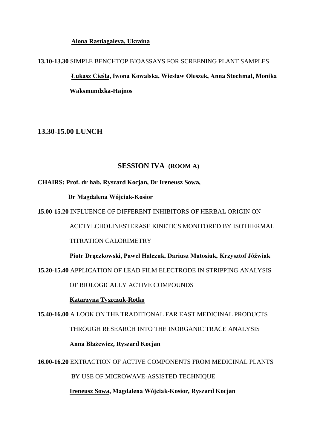#### **Alona Rastiagaieva, Ukraina**

## **13.10-13.30** SIMPLE BENCHTOP BIOASSAYS FOR SCREENING PLANT SAMPLES **Łukasz Cieśla, Iwona Kowalska, Wiesław Oleszek, Anna Stochmal, Monika Waksmundzka-Hajnos**

#### **13.30-15.00 LUNCH**

#### **SESSION IVA (ROOM A)**

#### **CHAIRS: Prof. dr hab. Ryszard Kocjan, Dr Ireneusz Sowa,**

 **Dr Magdalena Wójciak-Kosior**

**15.00-15.20** INFLUENCE OF DIFFERENT INHIBITORS OF HERBAL ORIGIN ON

ACETYLCHOLINESTERASE KINETICS MONITORED BY ISOTHERMAL

TITRATION CALORIMETRY

 **Piotr Drączkowski, Paweł Halczuk, Dariusz Matosiuk, Krzysztof Jóźwiak**

**15.20-15.40** APPLICATION OF LEAD FILM ELECTRODE IN STRIPPING ANALYSIS

OF BIOLOGICALLY ACTIVE COMPOUNDS

#### **Katarzyna Tyszczuk-Rotko**

**15.40-16.00** A LOOK ON THE TRADITIONAL FAR EAST MEDICINAL PRODUCTS THROUGH RESEARCH INTO THE INORGANIC TRACE ANALYSIS **Anna Błażewicz, Ryszard Kocjan**

**16.00-16.20** EXTRACTION OF ACTIVE COMPONENTS FROM MEDICINAL PLANTS

BY USE OF MICROWAVE-ASSISTED TECHNIQUE

 **Ireneusz Sowa, Magdalena Wójciak-Kosior, Ryszard Kocjan**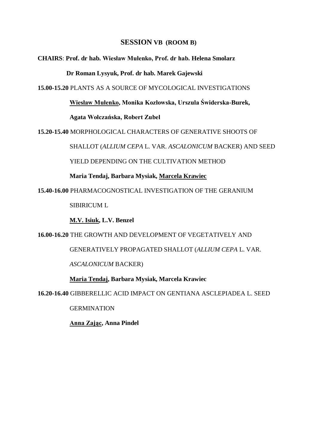#### **SESSION VB (ROOM B)**

#### **CHAIRS**: **Prof. dr hab. Wiesław Mułenko, Prof. dr hab. Helena Smolarz**

 **Dr Roman Lysyuk, Prof. dr hab. Marek Gajewski**

**15.00-15.20** PLANTS AS A SOURCE OF MYCOLOGICAL INVESTIGATIONS

**Wiesław Mułenko, Monika Kozłowska, Urszula Świderska-Burek,** 

 **Agata Wołczańska, Robert Zubel**

**15.20-15.40** MORPHOLOGICAL CHARACTERS OF GENERATIVE SHOOTS OF

SHALLOT (*ALLIUM CEPA* L. VAR. *ASCALONICUM* BACKER) AND SEED

YIELD DEPENDING ON THE CULTIVATION METHOD

**Maria Tendaj, Barbara Mysiak, Marcela Krawiec**

**15.40-16.00** PHARMACOGNOSTICAL INVESTIGATION OF THE GERANIUM

SIBIRICUM L

**M.V. Isiuk, L.V. Benzel** 

**16.00-16.20** THE GROWTH AND DEVELOPMENT OF VEGETATIVELY AND

GENERATIVELY PROPAGATED SHALLOT (*ALLIUM CEPA* L. VAR.

*ASCALONICUM* BACKER)

**Maria Tendaj, Barbara Mysiak, Marcela Krawiec** 

**16.20-16.40** GIBBERELLIC ACID IMPACT ON GENTIANA ASCLEPIADEA L. SEED

**GERMINATION** 

**Anna Zając, Anna Pindel**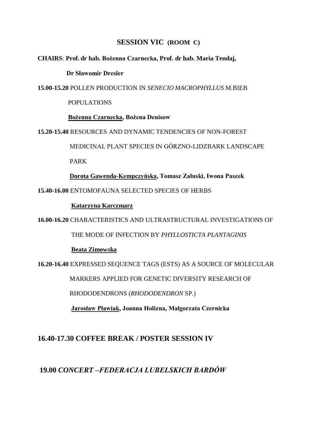## **SESSION VIC (ROOM C)**

#### **CHAIRS**: **Prof. dr hab. Bożenna Czarnecka, Prof. dr hab. Maria Tendaj,**

#### **Dr Sławomir Dresler**

**15.00-15.20** POLLEN PRODUCTION IN *SENECIO MACROPHYLLUS* M.BIEB

POPULATIONS

**Bożenna Czarnecka, Bożena Denisow** 

**15.20-15.40** RESOURCES AND DYNAMIC TENDENCIES OF NON-FOREST

MEDICINAL PLANT SPECIES IN GÓRZNO-LIDZBARK LANDSCAPE

PARK

**Dorota Gawenda-Kempczyńska, Tomasz Załuski, Iwona Paszek**

**15.40-16.00** ENTOMOFAUNA SELECTED SPECIES OF HERBS

#### **Katarzyna Karczmarz**

**16.00-16.20** CHARACTERISTICS AND ULTRASTRUCTURAL INVESTIGATIONS OF

THE MODE OF INFECTION BY *PHYLLOSTICTA PLANTAGINIS*

#### **Beata Zimowska**

**16.20-16.40** EXPRESSED SEQUENCE TAGS (ESTS) AS A SOURCE OF MOLECULAR

MARKERS APPLIED FOR GENETIC DIVERSITY RESEARCH OF

RHODODENDRONS (*RHODODENDRON* SP.)

**Jarosław Pławiak, Joanna Holizna, Małgorzata Czernicka** 

## **16.40-17.30 COFFEE BREAK / POSTER SESSION IV**

## **19.00** *CONCERT –FEDERACJA LUBELSKICH BARDÓW*